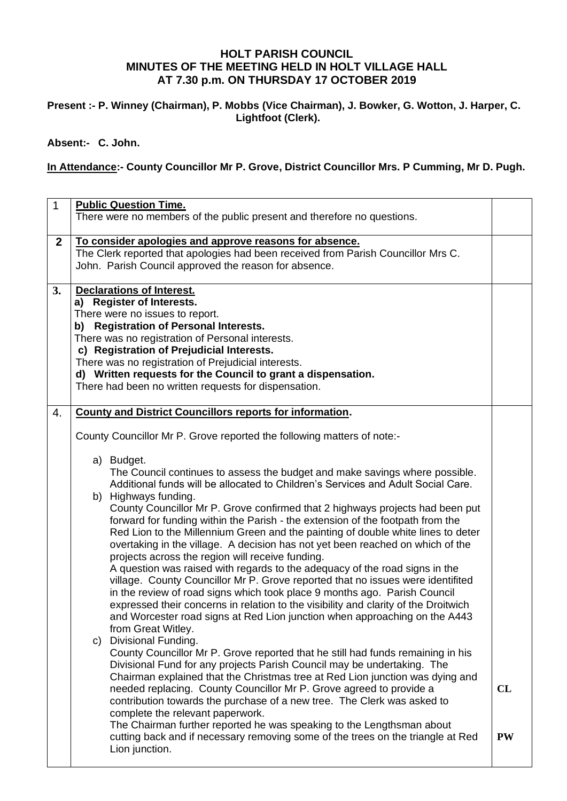# **HOLT PARISH COUNCIL MINUTES OF THE MEETING HELD IN HOLT VILLAGE HALL AT 7.30 p.m. ON THURSDAY 17 OCTOBER 2019**

# **Present :- P. Winney (Chairman), P. Mobbs (Vice Chairman), J. Bowker, G. Wotton, J. Harper, C. Lightfoot (Clerk).**

**Absent:- C. John.**

# **In Attendance:- County Councillor Mr P. Grove, District Councillor Mrs. P Cumming, Mr D. Pugh.**

| $\mathbf{1}$ | <b>Public Question Time.</b><br>There were no members of the public present and therefore no questions.                                                                                                                                                                                                                                                                                                                                                                                                                                                                                                                                                                                                                                                                                                                                                                                                                                                                                                                                                                                                                                                                                                                                                                                                                                                                                                                                                                                                                                                                                                                                                                                                                                                                                                                                   |                 |  |  |  |  |
|--------------|-------------------------------------------------------------------------------------------------------------------------------------------------------------------------------------------------------------------------------------------------------------------------------------------------------------------------------------------------------------------------------------------------------------------------------------------------------------------------------------------------------------------------------------------------------------------------------------------------------------------------------------------------------------------------------------------------------------------------------------------------------------------------------------------------------------------------------------------------------------------------------------------------------------------------------------------------------------------------------------------------------------------------------------------------------------------------------------------------------------------------------------------------------------------------------------------------------------------------------------------------------------------------------------------------------------------------------------------------------------------------------------------------------------------------------------------------------------------------------------------------------------------------------------------------------------------------------------------------------------------------------------------------------------------------------------------------------------------------------------------------------------------------------------------------------------------------------------------|-----------------|--|--|--|--|
| $\mathbf{2}$ | To consider apologies and approve reasons for absence.<br>The Clerk reported that apologies had been received from Parish Councillor Mrs C.<br>John. Parish Council approved the reason for absence.                                                                                                                                                                                                                                                                                                                                                                                                                                                                                                                                                                                                                                                                                                                                                                                                                                                                                                                                                                                                                                                                                                                                                                                                                                                                                                                                                                                                                                                                                                                                                                                                                                      |                 |  |  |  |  |
| 3.           | <b>Declarations of Interest.</b><br>a) Register of Interests.<br>There were no issues to report.<br>b) Registration of Personal Interests.<br>There was no registration of Personal interests.<br>c) Registration of Prejudicial Interests.<br>There was no registration of Prejudicial interests.<br>d) Written requests for the Council to grant a dispensation.<br>There had been no written requests for dispensation.                                                                                                                                                                                                                                                                                                                                                                                                                                                                                                                                                                                                                                                                                                                                                                                                                                                                                                                                                                                                                                                                                                                                                                                                                                                                                                                                                                                                                |                 |  |  |  |  |
| 4.           | <b>County and District Councillors reports for information.</b><br>County Councillor Mr P. Grove reported the following matters of note:-<br>a) Budget.<br>The Council continues to assess the budget and make savings where possible.<br>Additional funds will be allocated to Children's Services and Adult Social Care.<br>b) Highways funding.<br>County Councillor Mr P. Grove confirmed that 2 highways projects had been put<br>forward for funding within the Parish - the extension of the footpath from the<br>Red Lion to the Millennium Green and the painting of double white lines to deter<br>overtaking in the village. A decision has not yet been reached on which of the<br>projects across the region will receive funding.<br>A question was raised with regards to the adequacy of the road signs in the<br>village. County Councillor Mr P. Grove reported that no issues were identifited<br>in the review of road signs which took place 9 months ago. Parish Council<br>expressed their concerns in relation to the visibility and clarity of the Droitwich<br>and Worcester road signs at Red Lion junction when approaching on the A443<br>from Great Witley.<br>Divisional Funding.<br>C)<br>County Councillor Mr P. Grove reported that he still had funds remaining in his<br>Divisional Fund for any projects Parish Council may be undertaking. The<br>Chairman explained that the Christmas tree at Red Lion junction was dying and<br>needed replacing. County Councillor Mr P. Grove agreed to provide a<br>contribution towards the purchase of a new tree. The Clerk was asked to<br>complete the relevant paperwork.<br>The Chairman further reported he was speaking to the Lengthsman about<br>cutting back and if necessary removing some of the trees on the triangle at Red<br>Lion junction. | CL<br><b>PW</b> |  |  |  |  |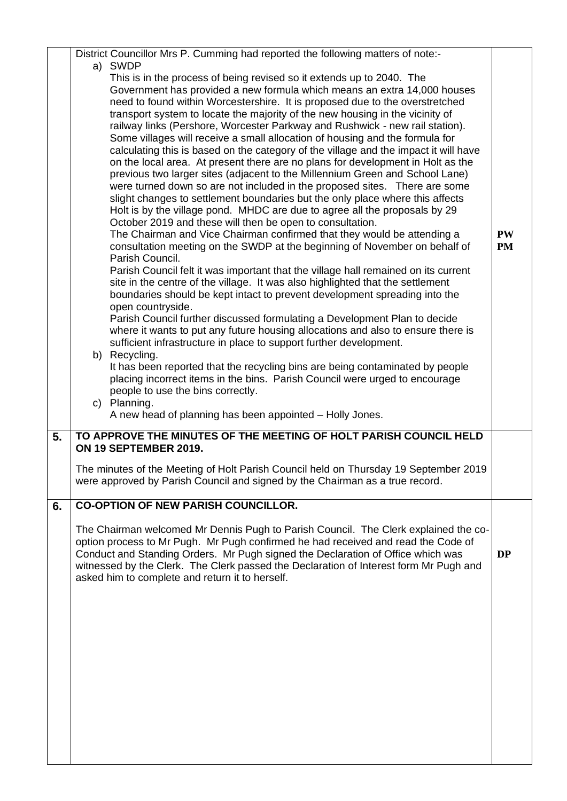|    | District Councillor Mrs P. Cumming had reported the following matters of note:-                                                                                                                                                                                                                                                                                                                                                                                                                                                                                                                                                                                                                                                                                                                                                                                                                                                                                                                                                                                                                                                                                                                                                                                                                                                                                                                                                                                                                                                                                                                                                                                                                                                                                                                                                                                                                                                                                                                                                                                    |                        |
|----|--------------------------------------------------------------------------------------------------------------------------------------------------------------------------------------------------------------------------------------------------------------------------------------------------------------------------------------------------------------------------------------------------------------------------------------------------------------------------------------------------------------------------------------------------------------------------------------------------------------------------------------------------------------------------------------------------------------------------------------------------------------------------------------------------------------------------------------------------------------------------------------------------------------------------------------------------------------------------------------------------------------------------------------------------------------------------------------------------------------------------------------------------------------------------------------------------------------------------------------------------------------------------------------------------------------------------------------------------------------------------------------------------------------------------------------------------------------------------------------------------------------------------------------------------------------------------------------------------------------------------------------------------------------------------------------------------------------------------------------------------------------------------------------------------------------------------------------------------------------------------------------------------------------------------------------------------------------------------------------------------------------------------------------------------------------------|------------------------|
|    | a) SWDP<br>This is in the process of being revised so it extends up to 2040. The<br>Government has provided a new formula which means an extra 14,000 houses<br>need to found within Worcestershire. It is proposed due to the overstretched<br>transport system to locate the majority of the new housing in the vicinity of<br>railway links (Pershore, Worcester Parkway and Rushwick - new rail station).<br>Some villages will receive a small allocation of housing and the formula for<br>calculating this is based on the category of the village and the impact it will have<br>on the local area. At present there are no plans for development in Holt as the<br>previous two larger sites (adjacent to the Millennium Green and School Lane)<br>were turned down so are not included in the proposed sites. There are some<br>slight changes to settlement boundaries but the only place where this affects<br>Holt is by the village pond. MHDC are due to agree all the proposals by 29<br>October 2019 and these will then be open to consultation.<br>The Chairman and Vice Chairman confirmed that they would be attending a<br>consultation meeting on the SWDP at the beginning of November on behalf of<br>Parish Council.<br>Parish Council felt it was important that the village hall remained on its current<br>site in the centre of the village. It was also highlighted that the settlement<br>boundaries should be kept intact to prevent development spreading into the<br>open countryside.<br>Parish Council further discussed formulating a Development Plan to decide<br>where it wants to put any future housing allocations and also to ensure there is<br>sufficient infrastructure in place to support further development.<br>b) Recycling.<br>It has been reported that the recycling bins are being contaminated by people<br>placing incorrect items in the bins. Parish Council were urged to encourage<br>people to use the bins correctly.<br>c) Planning.<br>A new head of planning has been appointed - Holly Jones. | <b>PW</b><br><b>PM</b> |
| 5. | TO APPROVE THE MINUTES OF THE MEETING OF HOLT PARISH COUNCIL HELD<br>ON 19 SEPTEMBER 2019.                                                                                                                                                                                                                                                                                                                                                                                                                                                                                                                                                                                                                                                                                                                                                                                                                                                                                                                                                                                                                                                                                                                                                                                                                                                                                                                                                                                                                                                                                                                                                                                                                                                                                                                                                                                                                                                                                                                                                                         |                        |
|    | The minutes of the Meeting of Holt Parish Council held on Thursday 19 September 2019<br>were approved by Parish Council and signed by the Chairman as a true record.                                                                                                                                                                                                                                                                                                                                                                                                                                                                                                                                                                                                                                                                                                                                                                                                                                                                                                                                                                                                                                                                                                                                                                                                                                                                                                                                                                                                                                                                                                                                                                                                                                                                                                                                                                                                                                                                                               |                        |
| 6. | <b>CO-OPTION OF NEW PARISH COUNCILLOR.</b>                                                                                                                                                                                                                                                                                                                                                                                                                                                                                                                                                                                                                                                                                                                                                                                                                                                                                                                                                                                                                                                                                                                                                                                                                                                                                                                                                                                                                                                                                                                                                                                                                                                                                                                                                                                                                                                                                                                                                                                                                         |                        |
|    | The Chairman welcomed Mr Dennis Pugh to Parish Council. The Clerk explained the co-<br>option process to Mr Pugh. Mr Pugh confirmed he had received and read the Code of<br>Conduct and Standing Orders. Mr Pugh signed the Declaration of Office which was<br>witnessed by the Clerk. The Clerk passed the Declaration of Interest form Mr Pugh and<br>asked him to complete and return it to herself.                                                                                                                                                                                                                                                                                                                                                                                                                                                                                                                                                                                                                                                                                                                                                                                                                                                                                                                                                                                                                                                                                                                                                                                                                                                                                                                                                                                                                                                                                                                                                                                                                                                            | <b>DP</b>              |
|    |                                                                                                                                                                                                                                                                                                                                                                                                                                                                                                                                                                                                                                                                                                                                                                                                                                                                                                                                                                                                                                                                                                                                                                                                                                                                                                                                                                                                                                                                                                                                                                                                                                                                                                                                                                                                                                                                                                                                                                                                                                                                    |                        |
|    |                                                                                                                                                                                                                                                                                                                                                                                                                                                                                                                                                                                                                                                                                                                                                                                                                                                                                                                                                                                                                                                                                                                                                                                                                                                                                                                                                                                                                                                                                                                                                                                                                                                                                                                                                                                                                                                                                                                                                                                                                                                                    |                        |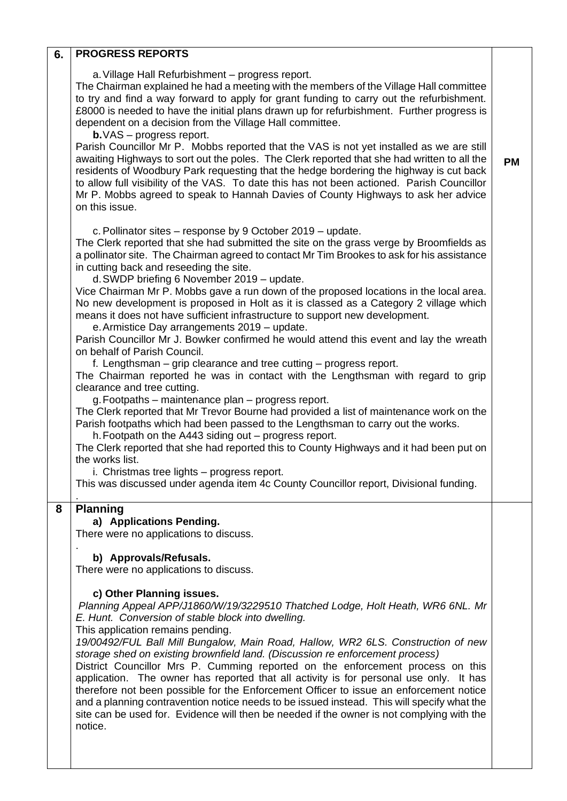## **6. PROGRESS REPORTS**

a.Village Hall Refurbishment – progress report.

The Chairman explained he had a meeting with the members of the Village Hall committee to try and find a way forward to apply for grant funding to carry out the refurbishment. £8000 is needed to have the initial plans drawn up for refurbishment. Further progress is dependent on a decision from the Village Hall committee.

**b.**VAS – progress report.

Parish Councillor Mr P. Mobbs reported that the VAS is not yet installed as we are still awaiting Highways to sort out the poles. The Clerk reported that she had written to all the residents of Woodbury Park requesting that the hedge bordering the highway is cut back to allow full visibility of the VAS. To date this has not been actioned. Parish Councillor Mr P. Mobbs agreed to speak to Hannah Davies of County Highways to ask her advice on this issue.

**PM**

c.Pollinator sites – response by 9 October 2019 – update.

The Clerk reported that she had submitted the site on the grass verge by Broomfields as a pollinator site. The Chairman agreed to contact Mr Tim Brookes to ask for his assistance in cutting back and reseeding the site.

d.SWDP briefing 6 November 2019 – update.

Vice Chairman Mr P. Mobbs gave a run down of the proposed locations in the local area. No new development is proposed in Holt as it is classed as a Category 2 village which means it does not have sufficient infrastructure to support new development.

e.Armistice Day arrangements 2019 – update.

Parish Councillor Mr J. Bowker confirmed he would attend this event and lay the wreath on behalf of Parish Council.

f. Lengthsman – grip clearance and tree cutting – progress report.

The Chairman reported he was in contact with the Lengthsman with regard to grip clearance and tree cutting.

g.Footpaths – maintenance plan – progress report.

The Clerk reported that Mr Trevor Bourne had provided a list of maintenance work on the Parish footpaths which had been passed to the Lengthsman to carry out the works.

h.Footpath on the A443 siding out – progress report.

The Clerk reported that she had reported this to County Highways and it had been put on the works list.

i. Christmas tree lights – progress report.

This was discussed under agenda item 4c County Councillor report, Divisional funding.

#### **8 Planning**

.

.

### **a) Applications Pending.**

There were no applications to discuss.

**b) Approvals/Refusals.**

There were no applications to discuss.

#### **c) Other Planning issues.**

*Planning Appeal APP/J1860/W/19/3229510 Thatched Lodge, Holt Heath, WR6 6NL. Mr E. Hunt. Conversion of stable block into dwelling.*

This application remains pending.

*19/00492/FUL Ball Mill Bungalow, Main Road, Hallow, WR2 6LS. Construction of new storage shed on existing brownfield land. (Discussion re enforcement process)*

District Councillor Mrs P. Cumming reported on the enforcement process on this application. The owner has reported that all activity is for personal use only. It has therefore not been possible for the Enforcement Officer to issue an enforcement notice and a planning contravention notice needs to be issued instead. This will specify what the site can be used for. Evidence will then be needed if the owner is not complying with the notice.